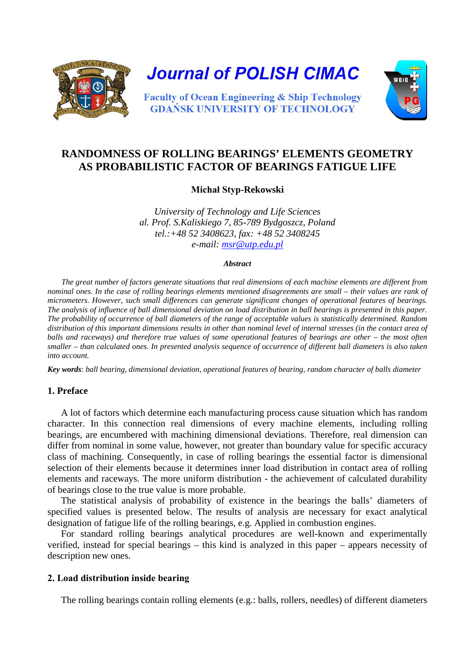



# **RANDOMNESS OF ROLLING BEARINGS' ELEMENTS GEOMETRY AS PROBABILISTIC FACTOR OF BEARINGS FATIGUE LIFE**

**Michał Styp-Rekowski**

*University of Technology and Life Sciences al. Prof. S.Kaliskiego 7, 85-789 Bydgoszcz, Poland tel.:+48 52 3408623, fax: +48 52 3408245 e-mail: [msr@utp.edu.pl](mailto:msr@utp.edu.pl)*

#### *Abstract*

*The great number of factors generate situations that real dimensions of each machine elements are different from nominal ones. In the case of rolling bearings elements mentioned disagreements are small – their values are rank of micrometers. However, such small differences can generate significant changes of operational features of bearings. The analysis of influence of ball dimensional deviation on load distribution in ball bearings is presented in this paper. The probability of occurrence of ball diameters of the range of acceptable values is statistically determined. Random distribution of this important dimensions results in other than nominal level of internal stresses (in the contact area of balls and raceways) and therefore true values of some operational features of bearings are other – the most often smaller – than calculated ones. In presented analysis sequence of occurrence of different ball diameters is also taken into account.*

*Key words*: *ball bearing, dimensional deviation, operational features of bearing, random character of balls diameter*

## **1. Preface**

A lot of factors which determine each manufacturing process cause situation which has random character. In this connection real dimensions of every machine elements, including rolling bearings, are encumbered with machining dimensional deviations. Therefore, real dimension can differ from nominal in some value, however, not greater than boundary value for specific accuracy class of machining. Consequently, in case of rolling bearings the essential factor is dimensional selection of their elements because it determines inner load distribution in contact area of rolling elements and raceways. The more uniform distribution - the achievement of calculated durability of bearings close to the true value is more probable.

The statistical analysis of probability of existence in the bearings the balls' diameters of specified values is presented below. The results of analysis are necessary for exact analytical designation of fatigue life of the rolling bearings, e.g. Applied in combustion engines.

For standard rolling bearings analytical procedures are well-known and experimentally verified, instead for special bearings – this kind is analyzed in this paper – appears necessity of description new ones.

## **2. Load distribution inside bearing**

The rolling bearings contain rolling elements (e.g.: balls, rollers, needles) of different diameters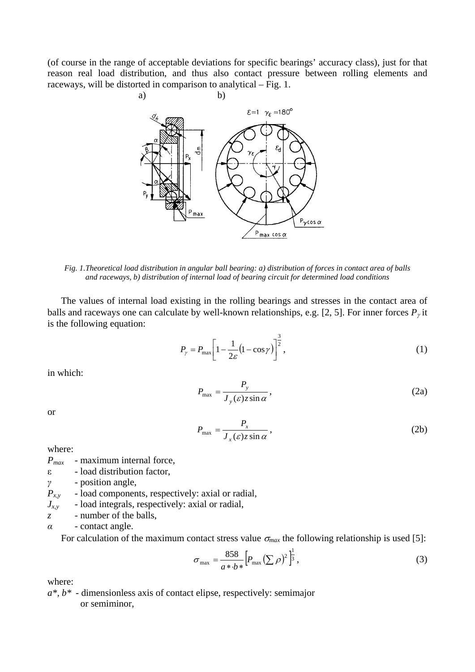(of course in the range of acceptable deviations for specific bearings' accuracy class), just for that reason real load distribution, and thus also contact pressure between rolling elements and raceways, will be distorted in comparison to analytical – Fig. 1.



*Fig. 1.Theoretical load distribution in angular ball bearing: a) distribution of forces in contact area of balls and raceways, b) distribution of internal load of bearing circuit for determined load conditions*

The values of internal load existing in the rolling bearings and stresses in the contact area of balls and raceways one can calculate by well-known relationships, e.g. [2, 5]. For inner forces  $P_{\gamma}$  it is the following equation:

$$
P_{\gamma} = P_{\text{max}} \left[ 1 - \frac{1}{2\varepsilon} \left( 1 - \cos \gamma \right) \right]^{\frac{3}{2}},\tag{1}
$$

in which:

$$
P_{\text{max}} = \frac{P_y}{J_y(\varepsilon)z\sin\alpha},\tag{2a}
$$

or

$$
P_{\text{max}} = \frac{P_x}{J_x(\varepsilon)z\sin\alpha},\tag{2b}
$$

where:

*Pmax* - maximum internal force,

ε - load distribution factor,

*γ* - position angle,

 $P_{xy}$  - load components, respectively: axial or radial,

- $J_{x,y}$  load integrals, respectively: axial or radial,
- *z* number of the balls,

*α* - contact angle.

For calculation of the maximum contact stress value  $\sigma_{max}$  the following relationship is used [5]:

$$
\sigma_{\text{max}} = \frac{858}{a \cdot b \cdot b} \left[ P_{\text{max}} \left( \sum \rho \right)^2 \right]^{\frac{1}{3}},\tag{3}
$$

where:

*a\*, b\** - dimensionless axis of contact elipse, respectively: semimajor or semiminor,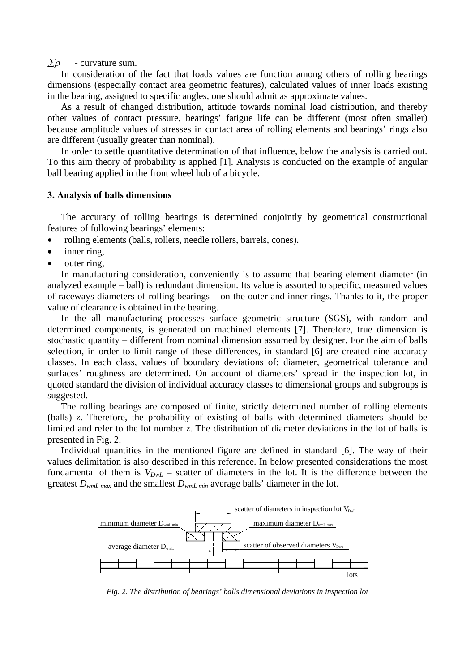$\sum \rho$  - curvature sum.

In consideration of the fact that loads values are function among others of rolling bearings dimensions (especially contact area geometric features), calculated values of inner loads existing in the bearing, assigned to specific angles, one should admit as approximate values.

As a result of changed distribution, attitude towards nominal load distribution, and thereby other values of contact pressure, bearings' fatigue life can be different (most often smaller) because amplitude values of stresses in contact area of rolling elements and bearings' rings also are different (usually greater than nominal).

In order to settle quantitative determination of that influence, below the analysis is carried out. To this aim theory of probability is applied [1]. Analysis is conducted on the example of angular ball bearing applied in the front wheel hub of a bicycle.

#### **3. Analysis of balls dimensions**

The accuracy of rolling bearings is determined conjointly by geometrical constructional features of following bearings' elements:

- rolling elements (balls, rollers, needle rollers, barrels, cones).
- inner ring,
- outer ring.

In manufacturing consideration, conveniently is to assume that bearing element diameter (in analyzed example – ball) is redundant dimension. Its value is assorted to specific, measured values of raceways diameters of rolling bearings – on the outer and inner rings. Thanks to it, the proper value of clearance is obtained in the bearing.

In the all manufacturing processes surface geometric structure (SGS), with random and determined components, is generated on machined elements [7]. Therefore, true dimension is stochastic quantity – different from nominal dimension assumed by designer. For the aim of balls selection, in order to limit range of these differences, in standard [6] are created nine accuracy classes. In each class, values of boundary deviations of: diameter, geometrical tolerance and surfaces' roughness are determined. On account of diameters' spread in the inspection lot, in quoted standard the division of individual accuracy classes to dimensional groups and subgroups is suggested.

The rolling bearings are composed of finite, strictly determined number of rolling elements (balls) *z*. Therefore, the probability of existing of balls with determined diameters should be limited and refer to the lot number *z*. The distribution of diameter deviations in the lot of balls is presented in Fig. 2.

Individual quantities in the mentioned figure are defined in standard [6]. The way of their values delimitation is also described in this reference. In below presented considerations the most fundamental of them is  $V_{DwL}$  – scatter of diameters in the lot. It is the difference between the greatest *DwmL max* and the smallest *DwmL min* average balls' diameter in the lot.



*Fig. 2. The distribution of bearings' balls dimensional deviations in inspection lot*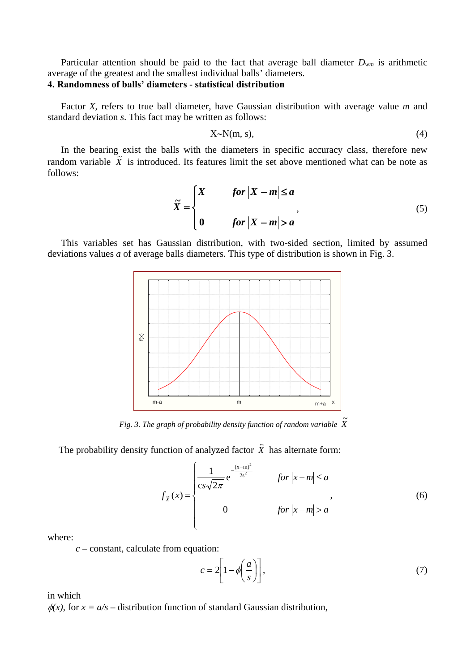Particular attention should be paid to the fact that average ball diameter  $D_{wm}$  is arithmetic average of the greatest and the smallest individual balls' diameters.

## **4. Randomness of balls' diameters - statistical distribution**

Factor *X*, refers to true ball diameter, have Gaussian distribution with average value *m* and standard deviation *s*. This fact may be written as follows:

$$
X \sim N(m, s), \tag{4}
$$

In the bearing exist the balls with the diameters in specific accuracy class, therefore new random variable  $\tilde{X}$  is introduced. Its features limit the set above mentioned what can be note as follows:

$$
\widetilde{X} = \begin{cases}\nX & \text{for } |X - m| \le a \\
0 & \text{for } |X - m| > a\n\end{cases}
$$
\n(5)

This variables set has Gaussian distribution, with two-sided section, limited by assumed deviations values *a* of average balls diameters. This type of distribution is shown in Fig. 3.



Fig. 3. The graph of probability density function of random variable  $\,\tilde{X}$ 

The probability density function of analyzed factor  $\tilde{X}$  has alternate form:

$$
f_{\tilde{X}}(x) = \begin{cases} \frac{1}{\cos \sqrt{2\pi}} e^{-\frac{(x-m)^2}{2s^2}} & \text{for } |x-m| \le a \\ 0 & \text{for } |x-m| > a \end{cases}
$$
(6)

where:

*c* – constant, calculate from equation:

$$
c = 2\left[1 - \phi\left(\frac{a}{s}\right)\right],\tag{7}
$$

in which

 $\phi(x)$ , for  $x = a/s$  – distribution function of standard Gaussian distribution,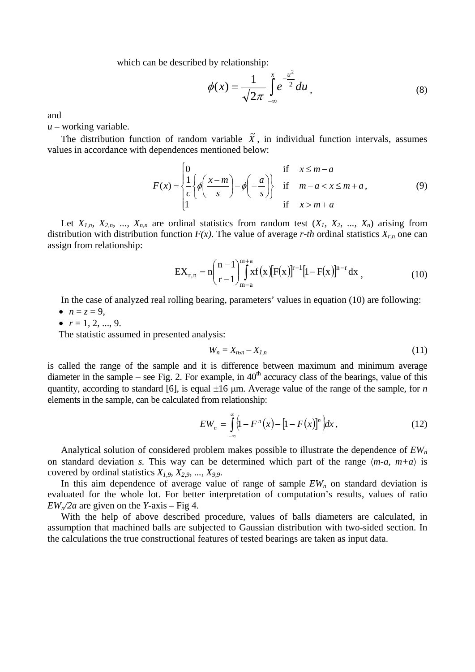which can be described by relationship:

$$
\phi(x) = \frac{1}{\sqrt{2\pi}} \int_{-\infty}^{x} e^{-\frac{u^2}{2}} du,
$$
\n(8)

and

*u* – working variable.

The distribution function of random variable  $\tilde{X}$ , in individual function intervals, assumes values in accordance with dependences mentioned below:

$$
F(x) = \begin{cases} 0 & \text{if } x \le m - a \\ \frac{1}{c} \left\{ \phi \left( \frac{x - m}{s} \right) - \phi \left( -\frac{a}{s} \right) \right\} & \text{if } m - a < x \le m + a, \\ 1 & \text{if } x > m + a \end{cases} \tag{9}
$$

Let  $X_{1,n}$ ,  $X_{2,n}$ , ...,  $X_{n,n}$  are ordinal statistics from random test  $(X_1, X_2, ..., X_n)$  arising from distribution with distribution function  $F(x)$ . The value of average *r-th* ordinal statistics  $X_{r,n}$  one can assign from relationship:

$$
EX_{r,n} = n \binom{n-1}{r-1} \int_{m-a}^{m+a} x f(x) [F(x)]^{r-1} [1 - F(x)]^{n-r} dx , \qquad (10)
$$

In the case of analyzed real rolling bearing, parameters' values in equation (10) are following:

- $n = z = 9$ ,
- $r = 1, 2, ..., 9$ .

The statistic assumed in presented analysis:

$$
W_n = X_{n,n} - X_{l,n} \tag{11}
$$

is called the range of the sample and it is difference between maximum and minimum average diameter in the sample – see Fig. 2. For example, in  $40<sup>th</sup>$  accuracy class of the bearings, value of this quantity, according to standard [6], is equal ±16 µm. Average value of the range of the sample, for *n* elements in the sample, can be calculated from relationship:

$$
EW_n = \int_{-\infty}^{\infty} \left\{1 - F^{n}(x) - \left[1 - F(x)\right]^{n}\right\} dx,
$$
 (12)

Analytical solution of considered problem makes possible to illustrate the dependence of *EWn* on standard deviation *s*. This way can be determined which part of the range  $\langle m-a, m+a \rangle$  is covered by ordinal statistics  $X_{1,9}$ ,  $X_{2,9}$ , ...,  $X_{9,9}$ .

In this aim dependence of average value of range of sample  $EW<sub>n</sub>$  on standard deviation is evaluated for the whole lot. For better interpretation of computation's results, values of ratio  $EW<sub>n</sub>/2a$  are given on the *Y*-axis – Fig 4.

With the help of above described procedure, values of balls diameters are calculated, in assumption that machined balls are subjected to Gaussian distribution with two-sided section. In the calculations the true constructional features of tested bearings are taken as input data.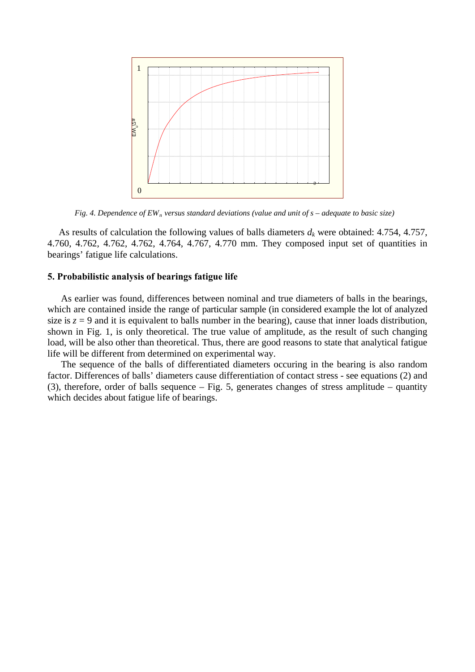

*Fig. 4. Dependence of EW<sub>n</sub> versus standard deviations (value and unit of s – adequate to basic size)* 

As results of calculation the following values of balls diameters  $d_k$  were obtained: 4.754, 4.757, 4.760, 4.762, 4.762, 4.762, 4.764, 4.767, 4.770 mm. They composed input set of quantities in bearings' fatigue life calculations.

## **5. Probabilistic analysis of bearings fatigue life**

As earlier was found, differences between nominal and true diameters of balls in the bearings, which are contained inside the range of particular sample (in considered example the lot of analyzed size is  $z = 9$  and it is equivalent to balls number in the bearing), cause that inner loads distribution, shown in Fig. 1, is only theoretical. The true value of amplitude, as the result of such changing load, will be also other than theoretical. Thus, there are good reasons to state that analytical fatigue life will be different from determined on experimental way.

The sequence of the balls of differentiated diameters occuring in the bearing is also random factor. Differences of balls' diameters cause differentiation of contact stress - see equations (2) and (3), therefore, order of balls sequence – Fig. 5, generates changes of stress amplitude – quantity which decides about fatigue life of bearings.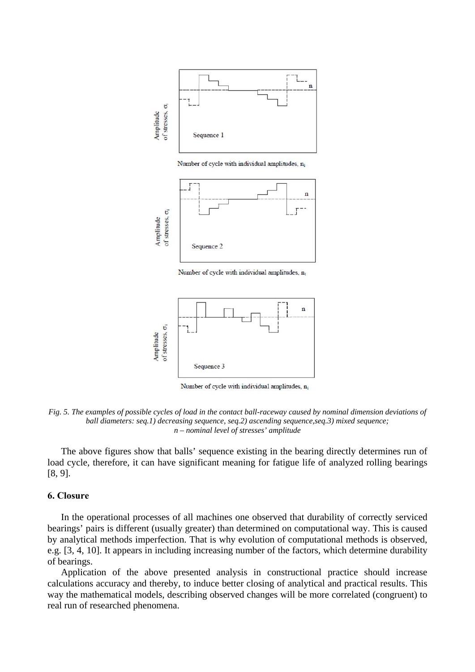

Number of cycle with individual amplitudes, no



Number of cycle with individual amplitudes, ni



Number of cycle with individual amplitudes, ni

*Fig. 5. The examples of possible cycles of load in the contact ball-raceway caused by nominal dimension deviations of ball diameters: seq.1) decreasing sequence, seq.2) ascending sequence, seq.3) mixed sequence; n – nominal level of stresses' amplitude*

The above figures show that balls' sequence existing in the bearing directly determines run of load cycle, therefore, it can have significant meaning for fatigue life of analyzed rolling bearings [8, 9].

### **6. Closure**

In the operational processes of all machines one observed that durability of correctly serviced bearings' pairs is different (usually greater) than determined on computational way. This is caused by analytical methods imperfection. That is why evolution of computational methods is observed, e.g. [3, 4, 10]. It appears in including increasing number of the factors, which determine durability of bearings.

Application of the above presented analysis in constructional practice should increase calculations accuracy and thereby, to induce better closing of analytical and practical results. This way the mathematical models, describing observed changes will be more correlated (congruent) to real run of researched phenomena.